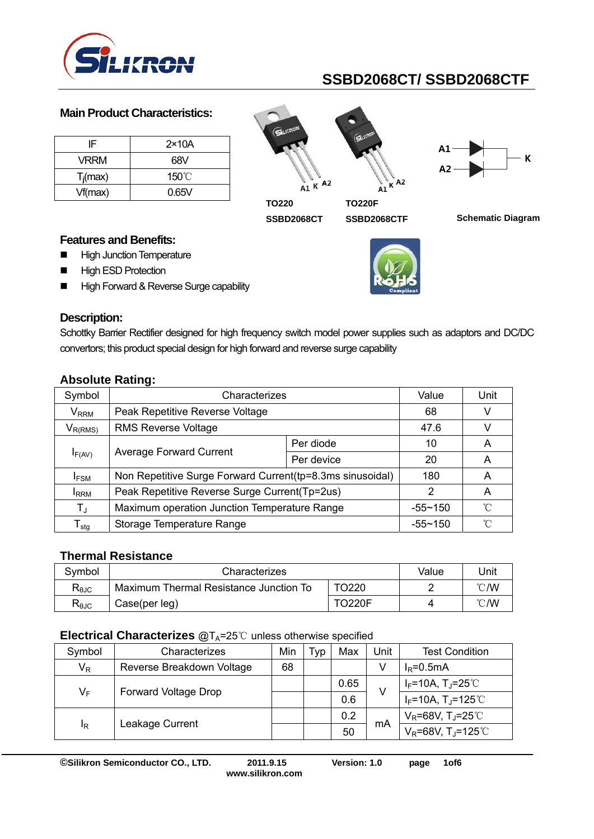

#### **Main Product Characteristics:**

| IF.         | $2\times 10A$   |
|-------------|-----------------|
| VRRM        | 68V             |
| $T_i$ (max) | $150^{\circ}$ C |
| Vf(max)     | 0.65V           |





**TO220** 

**SSBD2068CTF** 

SSBD2068CT SSBD2068CTF Schematic Diagram

#### **Features and Benefits:**

- **High Junction Temperature**
- **High ESD Protection**
- High Forward & Reverse Surge capability



#### **Description:**

Schottky Barrier Rectifier designed for high frequency switch model power supplies such as adaptors and DC/DC convertors; this product special design for high forward and reverse surge capability

| ADSOIGUE RAILIU.            |                                                            |             |                           |   |
|-----------------------------|------------------------------------------------------------|-------------|---------------------------|---|
| Symbol                      | Characterizes                                              | Value       | Unit                      |   |
| <b>V</b> <sub>RRM</sub>     | Peak Repetitive Reverse Voltage                            | 68          |                           |   |
| $V_{R(RMS)}$                | <b>RMS Reverse Voltage</b>                                 | 47.6        |                           |   |
| $I_{F(AV)}$                 |                                                            | Per diode   | 10                        | A |
|                             | <b>Average Forward Current</b>                             | Per device  | 20                        | A |
| <b>IFSM</b>                 | Non Repetitive Surge Forward Current (tp=8.3ms sinusoidal) | 180         | A                         |   |
| <b>I</b> RRM                | Peak Repetitive Reverse Surge Current(Tp=2us)              | 2           | A                         |   |
| $T_{\rm J}$                 | Maximum operation Junction Temperature Range               | $-55 - 150$ | $^{\circ}$ $\cap^{\circ}$ |   |
| $\mathsf{T}_{\mathsf{stq}}$ | Storage Temperature Range                                  | $-55 - 150$ | $^{\circ}$ $\cap$         |   |

## **Absolute Rating:**

## **Thermal Resistance**

| Svmbol                    | Characterizes                          | Value         | Jnit |    |
|---------------------------|----------------------------------------|---------------|------|----|
| $\mathsf{R}_{\text{6JC}}$ | Maximum Thermal Resistance Junction To |               | ℃W   |    |
| $R_{\theta$ JC            | Case(per leg)                          | <b>TO220F</b> |      | ℃W |

#### **Electrical Characterizes @T<sub>A</sub>=25 ℃ unless otherwise specified**

| Symbol | Characterizes             | Min | <u>I vp</u> | Max  | Unit | <b>Test Condition</b>               |
|--------|---------------------------|-----|-------------|------|------|-------------------------------------|
| $V_R$  | Reverse Breakdown Voltage | 68  |             |      |      | $I_R = 0.5mA$                       |
| $V_F$  | Forward Voltage Drop      |     |             | 0.65 | V    | $I_F$ =10A, T <sub>J</sub> =25℃     |
|        |                           |     |             | 0.6  |      | $I_F$ =10A, T <sub>J</sub> =125℃    |
| ΙŖ     | Leakage Current           |     |             | 0.2  | mA   | $V_R$ =68V, TJ=25 $°C$              |
|        |                           |     |             | 50   |      | $V_R = 68V$ , T <sub>J</sub> =125°C |

**©Silikron Semiconductor CO., LTD. 2011.9.15 Version: 1.0 page 1of6** 

**www.silikron.com**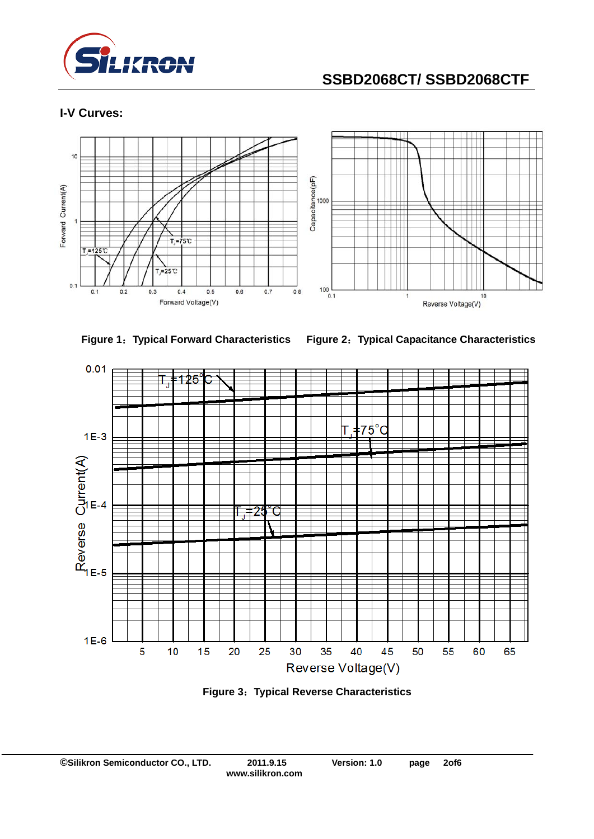

## **I-V Curves:**





**Figure 1**:**Typical Forward Characteristics Figure 2**:**Typical Capacitance Characteristics** 



**Figure 3**:**Typical Reverse Characteristics**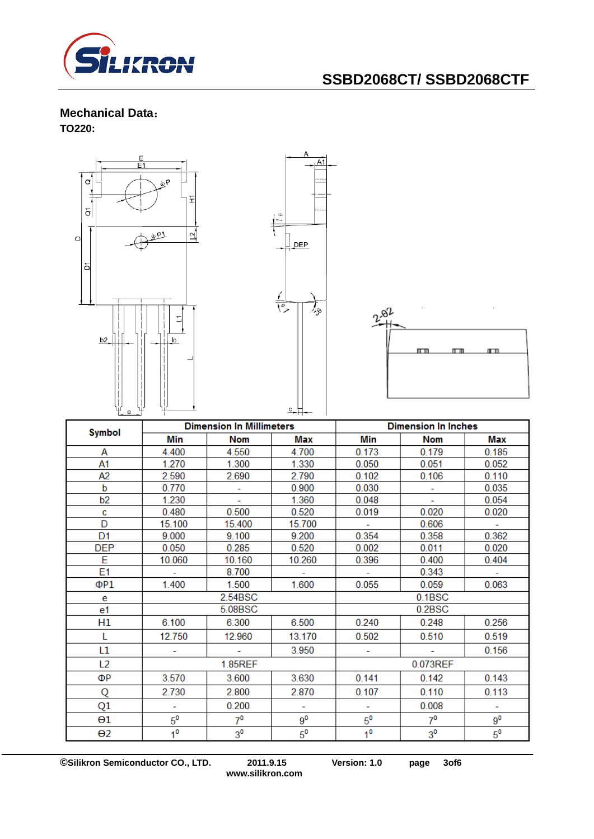

#### **Mechanical Data**: **TO220:**



**©Silikron Semiconductor CO., LTD. 2011.9.15 Version: 1.0 page 3of6** 

**www.silikron.com**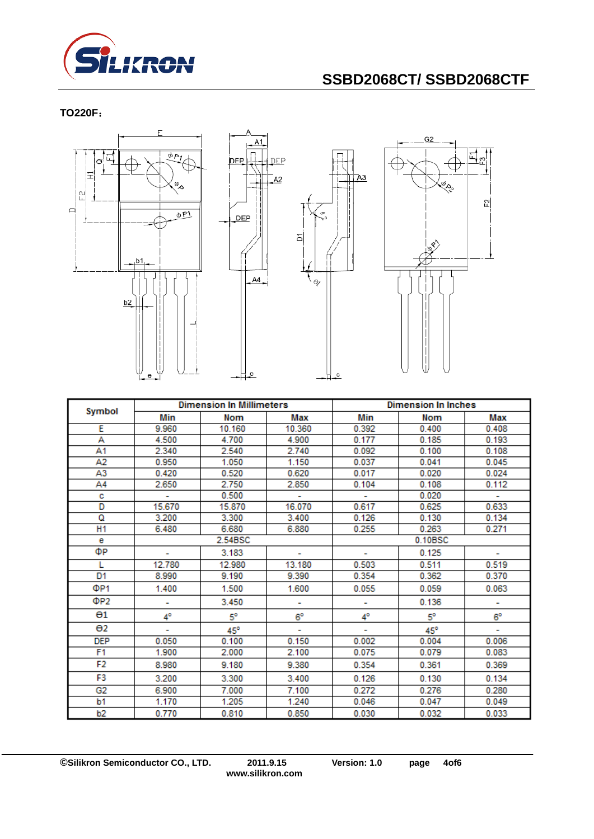

**TO220F**:



| <b>Dimension In Millimeters</b><br>Symbol |        |              | <b>Dimension In Inches</b> |       |              |             |  |
|-------------------------------------------|--------|--------------|----------------------------|-------|--------------|-------------|--|
|                                           | Min    | Nom          | Max                        | Min   | <b>Nom</b>   | Max         |  |
| E                                         | 9.960  | 10.160       | 10.360                     | 0.392 | 0.400        | 0.408       |  |
| А                                         | 4.500  | 4.700        | 4.900                      | 0.177 | 0.185        | 0.193       |  |
| A1                                        | 2.340  | 2.540        | 2.740                      | 0.092 | 0.100        | 0.108       |  |
| A2                                        | 0.950  | 1.050        | 1.150                      | 0.037 | 0.041        | 0.045       |  |
| A3                                        | 0.420  | 0.520        | 0.620                      | 0.017 | 0.020        | 0.024       |  |
| A4                                        | 2.650  | 2.750        | 2.850                      | 0.104 | 0.108        | 0.112       |  |
| с                                         | ÷      | 0.500        | ÷                          | ÷.    | 0.020        | ÷.          |  |
| D                                         | 15.670 | 15.870       | 16.070                     | 0.617 | 0.625        | 0.633       |  |
| Q                                         | 3.200  | 3.300        | 3.400                      | 0.126 | 0.130        | 0.134       |  |
| H1                                        | 6.480  | 6.680        | 6.880                      | 0.255 | 0.263        | 0.271       |  |
| е                                         |        | 2.54BSC      |                            |       | 0.10BSC      |             |  |
| ФР                                        |        | 3.183        |                            |       | 0.125        |             |  |
| L                                         | 12.780 | 12.980       | 13.180                     | 0.503 | 0.511        | 0.519       |  |
| D1                                        | 8.990  | 9.190        | 9.390                      | 0.354 | 0.362        | 0.370       |  |
| ΦP <sub>1</sub>                           | 1.400  | 1.500        | 1.600                      | 0.055 | 0.059        | 0.063       |  |
| ΦP2                                       |        | 3.450        |                            |       | 0.136        |             |  |
| $\Theta$ 1                                | 4°     | 5°           | $6^{\circ}$                | 4°    | $5^\circ$    | $6^{\circ}$ |  |
| $\Theta$ <sub>2</sub>                     |        | $45^{\circ}$ |                            |       | $45^{\circ}$ |             |  |
| <b>DEP</b>                                | 0.050  | 0.100        | 0.150                      | 0.002 | 0.004        | 0.006       |  |
| F <sub>1</sub>                            | 1.900  | 2.000        | 2.100                      | 0.075 | 0.079        | 0.083       |  |
| F2                                        | 8.980  | 9.180        | 9.380                      | 0.354 | 0.361        | 0.369       |  |
| F3                                        | 3.200  | 3.300        | 3.400                      | 0.126 | 0.130        | 0.134       |  |
| G2                                        | 6.900  | 7.000        | 7.100                      | 0.272 | 0.276        | 0.280       |  |
| b1                                        | 1.170  | 1.205        | 1.240                      | 0.046 | 0.047        | 0.049       |  |
| b2                                        | 0.770  | 0.810        | 0.850                      | 0.030 | 0.032        | 0.033       |  |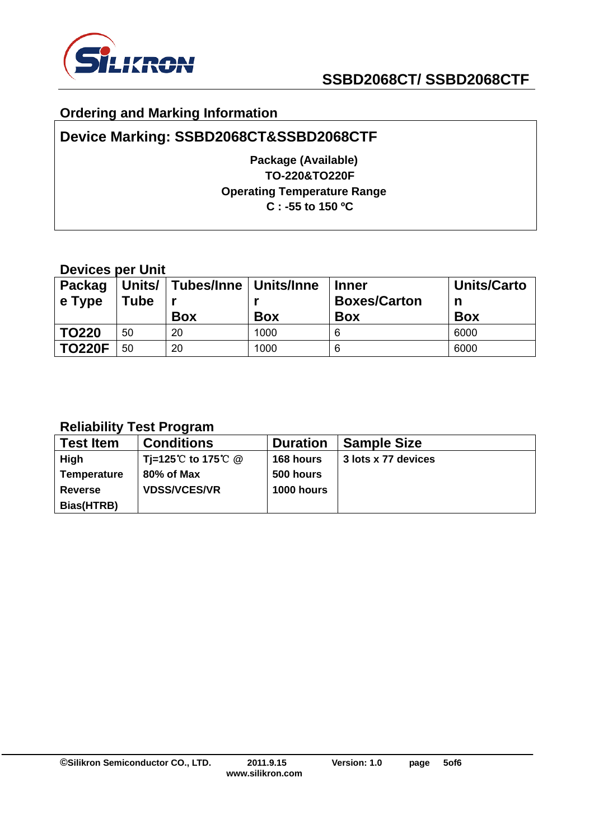

## **Ordering and Marking Information**

## **Device Marking: SSBD2068CT&SSBD2068CTF**

**Package (Available) TO-220&TO220F Operating Temperature Range C : -55 to 150 ºC** 

## **Devices per Unit**

| Packag<br>$\vert$ e Type | Units/<br>Tube | <b>│Tubes/Inne│Units/Inne</b><br><b>Box</b> | <b>Box</b> | <b>Inner</b><br><b>Boxes/Carton</b><br><b>Box</b> | <b>Units/Carto</b><br>n<br><b>Box</b> |
|--------------------------|----------------|---------------------------------------------|------------|---------------------------------------------------|---------------------------------------|
| <b>TO220</b>             | 50             | 20                                          | 1000       | 6                                                 | 6000                                  |
| <b>TO220F</b>            | 50             | 20                                          | 1000       | 6                                                 | 6000                                  |

## **Reliability Test Program**

| <b>Test Item</b>   | <b>Conditions</b>   | <b>Duration</b>   | <b>Sample Size</b>  |
|--------------------|---------------------|-------------------|---------------------|
| High               | Ti=125℃ to 175℃ @   | 168 hours         | 3 lots x 77 devices |
| <b>Temperature</b> | 80% of Max          | 500 hours         |                     |
| <b>Reverse</b>     | <b>VDSS/VCES/VR</b> | <b>1000 hours</b> |                     |
| Bias(HTRB)         |                     |                   |                     |